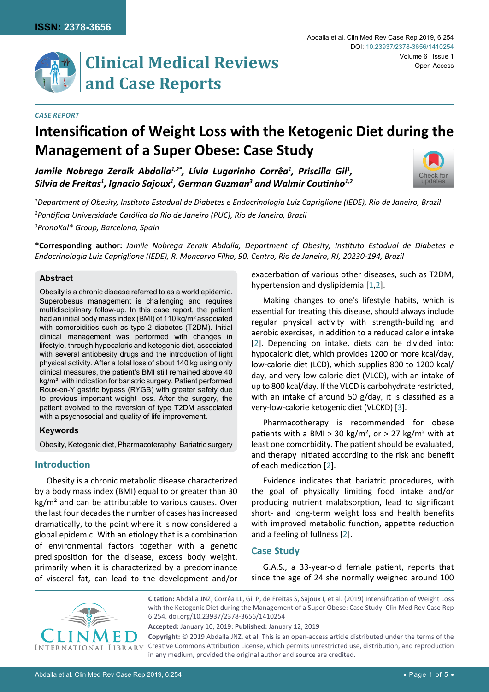

# **Clinical Medical Reviews and Case Reports**

#### *Case Report*

# **Intensification of Weight Loss with the Ketogenic Diet during the Management of a Super Obese: Case Study**

Jamile Nobrega Zeraik Abdalla<sup>1,2\*</sup>, Lívia Lugarinho Corrêa<sup>1</sup>, Priscilla Gil<sup>1</sup>, *Silvia de Freitas1 , Ignacio Sajoux1 , German Guzman3 and Walmir Coutinho1,2*



*1 Department of Obesity, Instituto Estadual de Diabetes e Endocrinologia Luiz Capriglione (IEDE), Rio de Janeiro, Brazil 2 Pontifícia Universidade Católica do Rio de Janeiro (PUC), Rio de Janeiro, Brazil 3 PronoKal® Group, Barcelona, Spain*

**\*Corresponding author:** *Jamile Nobrega Zeraik Abdalla, Department of Obesity, Instituto Estadual de Diabetes e Endocrinologia Luiz Capriglione (IEDE), R. Moncorvo Filho, 90, Centro, Rio de Janeiro, RJ, 20230-194, Brazil*

## **Abstract**

Obesity is a chronic disease referred to as a world epidemic. Superobesus management is challenging and requires multidisciplinary follow-up. In this case report, the patient had an initial body mass index (BMI) of 110 kg/m² associated with comorbidities such as type 2 diabetes (T2DM). Initial clinical management was performed with changes in lifestyle, through hypocaloric and ketogenic diet, associated with several antiobesity drugs and the introduction of light physical activity. After a total loss of about 140 kg using only clinical measures, the patient's BMI still remained above 40 kg/m², with indication for bariatric surgery. Patient performed Roux-en-Y gastric bypass (RYGB) with greater safety due to previous important weight loss. After the surgery, the patient evolved to the reversion of type T2DM associated with a psychosocial and quality of life improvement.

#### **Keywords**

Obesity, Ketogenic diet, Pharmacoteraphy, Bariatric surgery

# **Introduction**

Obesity is a chronic metabolic disease characterized by a body mass index (BMI) equal to or greater than 30  $kg/m<sup>2</sup>$  and can be attributable to various causes. Over the last four decades the number of cases has increased dramatically, to the point where it is now considered a global epidemic. With an etiology that is a combination of environmental factors together with a genetic predisposition for the disease, excess body weight, primarily when it is characterized by a predominance of visceral fat, can lead to the development and/or

exacerbation of various other diseases, such as T2DM, hypertension and dyslipidemia [[1,](#page-4-0)[2](#page-4-1)].

Making changes to one's lifestyle habits, which is essential for treating this disease, should always include regular physical activity with strength-building and aerobic exercises, in addition to a reduced calorie intake [[2](#page-4-1)]. Depending on intake, diets can be divided into: hypocaloric diet, which provides 1200 or more kcal/day, low-calorie diet (LCD), which supplies 800 to 1200 kcal/ day, and very-low-calorie diet (VLCD), with an intake of up to 800 kcal/day. If the VLCD is carbohydrate restricted, with an intake of around 50 g/day, it is classified as a very-low-calorie ketogenic diet (VLCKD) [\[3](#page-4-2)].

Pharmacotherapy is recommended for obese patients with a BMI > 30 kg/m<sup>2</sup>, or > 27 kg/m<sup>2</sup> with at least one comorbidity. The patient should be evaluated, and therapy initiated according to the risk and benefit of each medication [[2](#page-4-1)].

Evidence indicates that bariatric procedures, with the goal of physically limiting food intake and/or producing nutrient malabsorption, lead to significant short- and long-term weight loss and health benefits with improved metabolic function, appetite reduction and a feeling of fullness [[2](#page-4-1)].

# **Case Study**

G.A.S., a 33-year-old female patient, reports that since the age of 24 she normally weighed around 100



**Citation:** Abdalla JNZ, Corrêa LL, Gil P, de Freitas S, Sajoux I, et al. (2019) Intensification of Weight Loss with the Ketogenic Diet during the Management of a Super Obese: Case Study. Clin Med Rev Case Rep 6:254. [doi.org/10.23937/2378-3656/1410254](https://doi.org/10.23937/2378-3656/1410254)

**Accepted:** January 10, 2019: **Published:** January 12, 2019

**Copyright:** © 2019 Abdalla JNZ, et al. This is an open-access article distributed under the terms of the Creative Commons Attribution License, which permits unrestricted use, distribution, and reproduction in any medium, provided the original author and source are credited.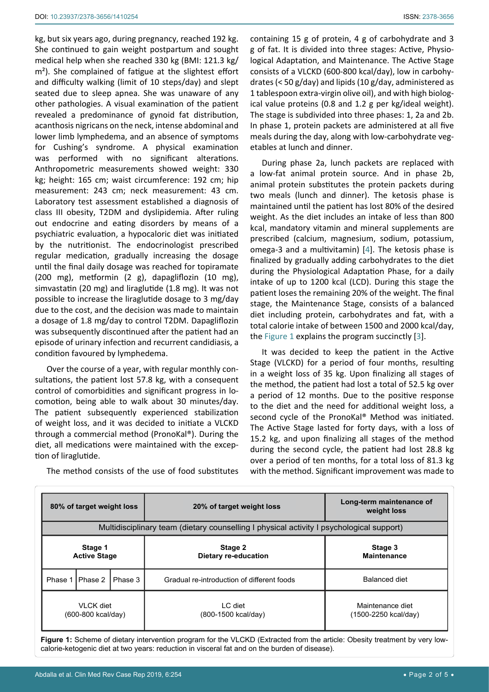kg, but six years ago, during pregnancy, reached 192 kg. She continued to gain weight postpartum and sought medical help when she reached 330 kg (BMI: 121.3 kg/ m<sup>2</sup>). She complained of fatigue at the slightest effort and difficulty walking (limit of 10 steps/day) and slept seated due to sleep apnea. She was unaware of any other pathologies. A visual examination of the patient revealed a predominance of gynoid fat distribution, acanthosis nigricans on the neck, intense abdominal and lower limb lymphedema, and an absence of symptoms for Cushing's syndrome. A physical examination was performed with no significant alterations. Anthropometric measurements showed weight: 330 kg; height: 165 cm; waist circumference: 192 cm; hip measurement: 243 cm; neck measurement: 43 cm. Laboratory test assessment established a diagnosis of class III obesity, T2DM and dyslipidemia. After ruling out endocrine and eating disorders by means of a psychiatric evaluation, a hypocaloric diet was initiated by the nutritionist. The endocrinologist prescribed regular medication, gradually increasing the dosage until the final daily dosage was reached for topiramate (200 mg), metformin (2 g), dapagliflozin (10 mg), simvastatin (20 mg) and liraglutide (1.8 mg). It was not possible to increase the liraglutide dosage to 3 mg/day due to the cost, and the decision was made to maintain a dosage of 1.8 mg/day to control T2DM. Dapagliflozin was subsequently discontinued after the patient had an episode of urinary infection and recurrent candidiasis, a condition favoured by lymphedema.

Over the course of a year, with regular monthly consultations, the patient lost 57.8 kg, with a consequent control of comorbidities and significant progress in locomotion, being able to walk about 30 minutes/day. The patient subsequently experienced stabilization of weight loss, and it was decided to initiate a VLCKD through a commercial method (PronoKal®). During the diet, all medications were maintained with the exception of liraglutide.

g of fat. It is divided into three stages: Active, Physiological Adaptation, and Maintenance. The Active Stage consists of a VLCKD (600-800 kcal/day), low in carbohydrates (< 50 g/day) and lipids (10 g/day, administered as 1 tablespoon extra-virgin olive oil), and with high biological value proteins (0.8 and 1.2 g per kg/ideal weight). The stage is subdivided into three phases: 1, 2a and 2b. In phase 1, protein packets are administered at all five meals during the day, along with low-carbohydrate vegetables at lunch and dinner.

During phase 2a, lunch packets are replaced with a low-fat animal protein source. And in phase 2b, animal protein substitutes the protein packets during two meals (lunch and dinner). The ketosis phase is maintained until the patient has lost 80% of the desired weight. As the diet includes an intake of less than 800 kcal, mandatory vitamin and mineral supplements are prescribed (calcium, magnesium, sodium, potassium, omega-3 and a multivitamin) [[4](#page-4-3)]. The ketosis phase is finalized by gradually adding carbohydrates to the diet during the Physiological Adaptation Phase, for a daily intake of up to 1200 kcal (LCD). During this stage the patient loses the remaining 20% of the weight. The final stage, the Maintenance Stage, consists of a balanced diet including protein, carbohydrates and fat, with a total calorie intake of between 1500 and 2000 kcal/day, the [Figure 1](#page-1-0) explains the program succinctly [\[3](#page-4-2)].

It was decided to keep the patient in the Active Stage (VLCKD) for a period of four months, resulting in a weight loss of 35 kg. Upon finalizing all stages of the method, the patient had lost a total of 52.5 kg over a period of 12 months. Due to the positive response to the diet and the need for additional weight loss, a second cycle of the PronoKal® Method was initiated. The Active Stage lasted for forty days, with a loss of 15.2 kg, and upon finalizing all stages of the method during the second cycle, the patient had lost 28.8 kg over a period of ten months, for a total loss of 81.3 kg with the method. Significant improvement was made to

<span id="page-1-0"></span>

| Multidisciplinary team (dietary counselling I physical activity I psychological support)<br>Stage 2<br>Stage 3<br>Stage 1<br><b>Active Stage</b><br><b>Maintenance</b><br>Dietary re-education<br>Balanced diet<br>Phase 2<br>Phase 3<br>Phase 1<br>Gradual re-introduction of different foods | 80% of target weight loss |  |  | 20% of target weight loss | Long-term maintenance of<br>weight loss |  |  |  |  |  |
|------------------------------------------------------------------------------------------------------------------------------------------------------------------------------------------------------------------------------------------------------------------------------------------------|---------------------------|--|--|---------------------------|-----------------------------------------|--|--|--|--|--|
|                                                                                                                                                                                                                                                                                                |                           |  |  |                           |                                         |  |  |  |  |  |
|                                                                                                                                                                                                                                                                                                |                           |  |  |                           |                                         |  |  |  |  |  |
|                                                                                                                                                                                                                                                                                                |                           |  |  |                           |                                         |  |  |  |  |  |
| <b>VLCK</b> diet<br>LC diet<br>Maintenance diet<br>(600-800 kcal/day)<br>(800-1500 kcal/day)<br>(1500-2250 kcal/day)                                                                                                                                                                           |                           |  |  |                           |                                         |  |  |  |  |  |

calorie-ketogenic diet at two years: reduction in visceral fat and on the burden of disease).

The method consists of the use of food substitutes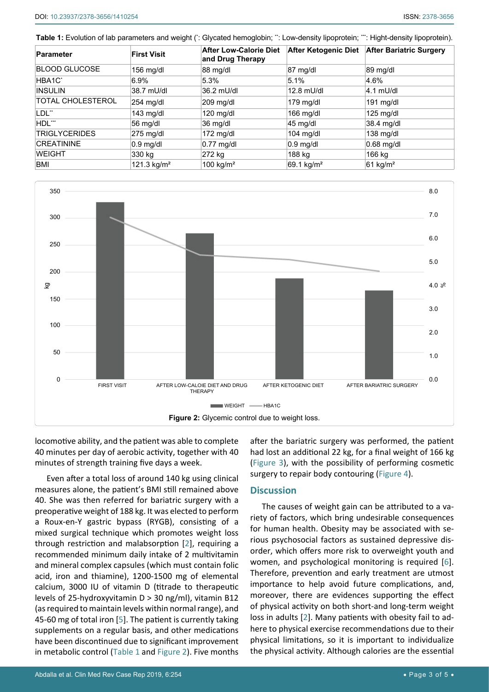<span id="page-2-0"></span>**Table 1:** Evolution of lab parameters and weight (\*: Glycated hemoglobin; \*\*: Low-density lipoprotein; \*\*: Hight-density lipoprotein).

| Parameter                | <b>First Visit</b>  | <b>After Low-Calorie Diet</b><br>and Drug Therapy | After Ketogenic Diet   | <b>After Bariatric Surgery</b> |
|--------------------------|---------------------|---------------------------------------------------|------------------------|--------------------------------|
| BLOOD GLUCOSE            | 156 mg/dl           | 88 mg/dl                                          | 87 mg/dl               | 89 mg/dl                       |
| HBA1C <sup>*</sup>       | 6.9%                | 5.3%                                              | 5.1%                   | 4.6%                           |
| <b>INSULIN</b>           | 38.7 mU/dl          | 36.2 mU/dl                                        | 12.8 mU/dl             | $4.1$ mU/dl                    |
| <b>TOTAL CHOLESTEROL</b> | $254 \text{ mg/dl}$ | $209 \text{ mg/dl}$                               | 179 mg/dl              | 191 $mg/dl$                    |
| LDL**                    | 143 mg/dl           | $120$ mg/dl                                       | $166$ mg/dl            | $125$ mg/dl                    |
| HDL**                    | 56 mg/dl            | 36 mg/dl                                          | 45 mg/dl               | 38.4 mg/dl                     |
| <b>TRIGLYCERIDES</b>     | $275$ mg/dl         | 172 $mg/dl$                                       | $104$ mg/dl            | $138$ mg/dl                    |
| <b>CREATININE</b>        | $0.9$ mg/dl         | $0.77$ mg/dl                                      | $0.9$ mg/dl            | $0.68$ mg/dl                   |
| <b>WEIGHT</b>            | 330 kg              | 272 kg                                            | 188 kg                 | 166 kg                         |
| BMI                      | 121.3 $kg/m2$       | 100 kg/ $m2$                                      | 69.1 kg/m <sup>2</sup> | $61$ kg/m <sup>2</sup>         |

<span id="page-2-1"></span>

locomotive ability, and the patient was able to complete 40 minutes per day of aerobic activity, together with 40 minutes of strength training five days a week.

Even after a total loss of around 140 kg using clinical measures alone, the patient's BMI still remained above 40. She was then referred for bariatric surgery with a preoperative weight of 188 kg. It was elected to perform a Roux-en-Y gastric bypass (RYGB), consisting of a mixed surgical technique which promotes weight loss through restriction and malabsorption [[2](#page-4-1)], requiring a recommended minimum daily intake of 2 multivitamin and mineral complex capsules (which must contain folic acid, iron and thiamine), 1200-1500 mg of elemental calcium, 3000 IU of vitamin D (titrade to therapeutic levels of 25-hydroxyvitamin D > 30 ng/ml), vitamin B12 (as required to maintain levels within normal range), and 45-60 mg of total iron [\[5](#page-4-5)]. The patient is currently taking supplements on a regular basis, and other medications have been discontinued due to significant improvement <sup>29</sup><br>
<sup>50</sup><br>
<sup>60</sup><br>
<sup>FIRST VISIT **AFTER LOW CALOIE DIET AND DR**<br> **Figure 2:** Glycemic comotive ability, and the patient was able to complete<br>
40 minutes per day of aerobic activity, together with 40<br>
minutes of strength trai</sup>

after the bariatric surgery was performed, the patient had lost an additional 22 kg, for a final weight of 166 kg ([Figure 3](#page-3-0)), with the possibility of performing cosmetic surgery to repair body contouring [\(Figure 4](#page-3-1)).

## **Discussion**

The causes of weight gain can be attributed to a variety of factors, which bring undesirable consequences for human health. Obesity may be associated with serious psychosocial factors as sustained depressive disorder, which offers more risk to overweight youth and women, and psychological monitoring is required [[6\]](#page-4-4). Therefore, prevention and early treatment are utmost importance to help avoid future complications, and, moreover, there are evidences supporting the effect of physical activity on both short-and long-term weight loss in adults [[2](#page-4-1)]. Many patients with obesity fail to adhere to physical exercise recommendations due to their physical limitations, so it is important to individualize the physical activity. Although calories are the essential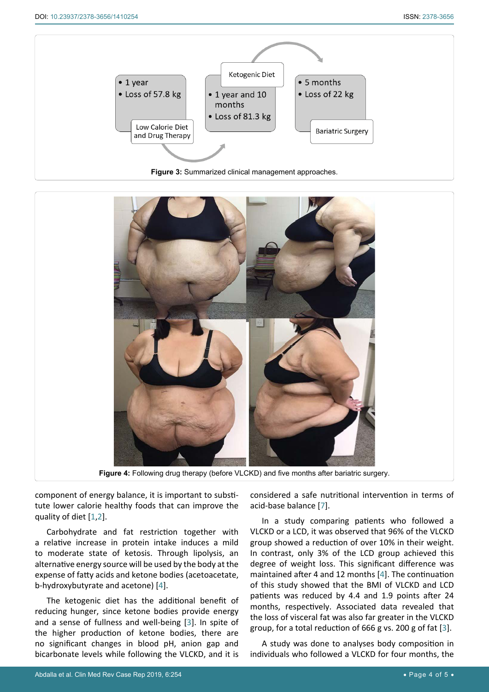<span id="page-3-0"></span>

<span id="page-3-1"></span>

**Figure 4:** Following drug therapy (before VLCKD) and five months after bariatric surgery.

component of energy balance, it is important to substitute lower calorie healthy foods that can improve the quality of diet [[1](#page-4-0),[2](#page-4-1)].

Carbohydrate and fat restriction together with a relative increase in protein intake induces a mild to moderate state of ketosis. Through lipolysis, an alternative energy source will be used by the body at the expense of fatty acids and ketone bodies (acetoacetate, b-hydroxybutyrate and acetone) [\[4](#page-4-3)].

The ketogenic diet has the additional benefit of reducing hunger, since ketone bodies provide energy and a sense of fullness and well-being [\[3](#page-4-2)]. In spite of the higher production of ketone bodies, there are no significant changes in blood pH, anion gap and bicarbonate levels while following the VLCKD, and it is

considered a safe nutritional intervention in terms of acid-base balance [\[7](#page-4-6)].

In a study comparing patients who followed a VLCKD or a LCD, it was observed that 96% of the VLCKD group showed a reduction of over 10% in their weight. In contrast, only 3% of the LCD group achieved this degree of weight loss. This significant difference was maintained after 4 and 12 months [[4](#page-4-3)]. The continuation of this study showed that the BMI of VLCKD and LCD patients was reduced by 4.4 and 1.9 points after 24 months, respectively. Associated data revealed that the loss of visceral fat was also far greater in the VLCKD group, for a total reduction of 666 g vs. 200 g of fat [\[3](#page-4-2)].

A study was done to analyses body composition in individuals who followed a VLCKD for four months, the